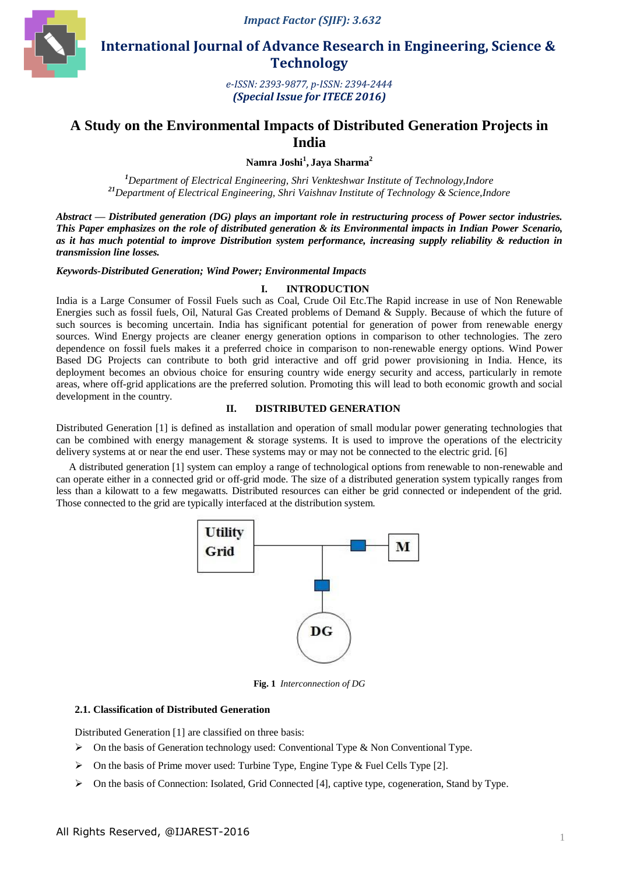

 **International Journal of Advance Research in Engineering, Science & Technology** 

> *e-ISSN: 2393-9877, p-ISSN: 2394-2444 (Special Issue for ITECE 2016)*

# **A Study on the Environmental Impacts of Distributed Generation Projects in India**

**Namra Joshi<sup>1</sup> , Jaya Sharma<sup>2</sup>**

*<sup>1</sup>Department of Electrical Engineering, Shri Venkteshwar Institute of Technology,Indore <sup>21</sup>Department of Electrical Engineering, Shri Vaishnav Institute of Technology & Science,Indore*

*Abstract* **—** *Distributed generation (DG) plays an important role in restructuring process of Power sector industries. This Paper emphasizes on the role of distributed generation & its Environmental impacts in Indian Power Scenario, as it has much potential to improve Distribution system performance, increasing supply reliability & reduction in transmission line losses.*

*Keywords-Distributed Generation; Wind Power; Environmental Impacts*

### **I. INTRODUCTION**

India is a Large Consumer of Fossil Fuels such as Coal, Crude Oil Etc.The Rapid increase in use of Non Renewable Energies such as fossil fuels, Oil, Natural Gas Created problems of Demand & Supply. Because of which the future of such sources is becoming uncertain. India has significant potential for generation of power from renewable energy sources. Wind Energy projects are cleaner energy generation options in comparison to other technologies. The zero dependence on fossil fuels makes it a preferred choice in comparison to non-renewable energy options. Wind Power Based DG Projects can contribute to both grid interactive and off grid power provisioning in India. Hence, its deployment becomes an obvious choice for ensuring country wide energy security and access, particularly in remote areas, where off-grid applications are the preferred solution. Promoting this will lead to both economic growth and social development in the country.

### **II. DISTRIBUTED GENERATION**

Distributed Generation [1] is defined as installation and operation of small modular power generating technologies that can be combined with energy management  $\&$  storage systems. It is used to improve the operations of the electricity delivery systems at or near the end user. These systems may or may not be connected to the electric grid. [6]

A distributed generation [1] system can employ a range of technological options from renewable to non-renewable and can operate either in a connected grid or off-grid mode. The size of a distributed generation system typically ranges from less than a kilowatt to a few megawatts. Distributed resources can either be grid connected or independent of the grid. Those connected to the grid are typically interfaced at the distribution system.



**Fig. 1** *Interconnection of DG*

### **2.1. Classification of Distributed Generation**

Distributed Generation [1] are classified on three basis:

- $\triangleright$  On the basis of Generation technology used: Conventional Type & Non Conventional Type.
- $\triangleright$  On the basis of Prime mover used: Turbine Type, Engine Type & Fuel Cells Type [2].
- $\triangleright$  On the basis of Connection: Isolated, Grid Connected [4], captive type, cogeneration, Stand by Type.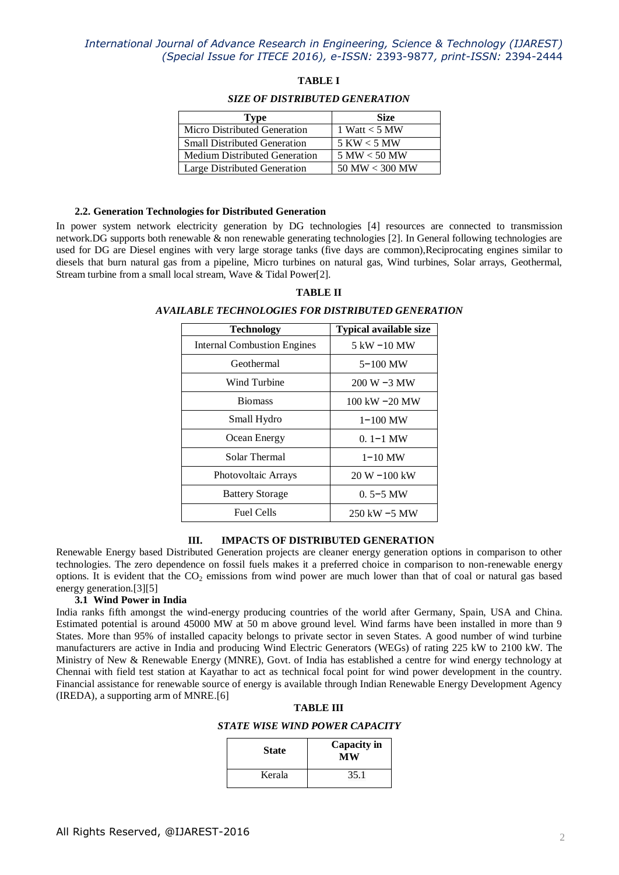### **TABLE I**

#### *SIZE OF DISTRIBUTED GENERATION*

| Type                                 | <b>Size</b>        |  |
|--------------------------------------|--------------------|--|
| Micro Distributed Generation         | 1 Watt $<$ 5 MW    |  |
| <b>Small Distributed Generation</b>  | $5$ KW $<$ 5 MW    |  |
| <b>Medium Distributed Generation</b> | 5 MW < 50 MW       |  |
| Large Distributed Generation         | $50$ MW $< 300$ MW |  |

#### **2.2. Generation Technologies for Distributed Generation**

In power system network electricity generation by DG technologies [4] resources are connected to transmission network.DG supports both renewable & non renewable generating technologies [2]. In General following technologies are used for DG are Diesel engines with very large storage tanks (five days are common),Reciprocating engines similar to diesels that burn natural gas from a pipeline, Micro turbines on natural gas, Wind turbines, Solar arrays, Geothermal, Stream turbine from a small local stream, Wave & Tidal Power[2].

# **TABLE II**

#### *AVAILABLE TECHNOLOGIES FOR DISTRIBUTED GENERATION*

| <b>Technology</b>                  | <b>Typical available size</b> |  |
|------------------------------------|-------------------------------|--|
| <b>Internal Combustion Engines</b> | $5$ kW $-10$ MW               |  |
| Geothermal                         | $5 - 100$ MW                  |  |
| Wind Turbine                       | $200 W - 3 MW$                |  |
| <b>Biomass</b>                     | 100 kW $-20$ MW               |  |
| Small Hydro                        | $1 - 100$ MW                  |  |
| Ocean Energy                       | $0.1 - 1$ MW                  |  |
| Solar Thermal                      | $1 - 10$ MW                   |  |
| Photovoltaic Arrays                | $20 W - 100 kW$               |  |
| <b>Battery Storage</b>             | $0.5 - 5$ MW                  |  |
| <b>Fuel Cells</b>                  | 250 kW $-5$ MW                |  |

#### **III. IMPACTS OF DISTRIBUTED GENERATION**

Renewable Energy based Distributed Generation projects are cleaner energy generation options in comparison to other technologies. The zero dependence on fossil fuels makes it a preferred choice in comparison to non-renewable energy options. It is evident that the  $CO<sub>2</sub>$  emissions from wind power are much lower than that of coal or natural gas based energy generation.[3][5]

#### **3.1 Wind Power in India**

India ranks fifth amongst the wind-energy producing countries of the world after Germany, Spain, USA and China. Estimated potential is around 45000 MW at 50 m above ground level. Wind farms have been installed in more than 9 States. More than 95% of installed capacity belongs to private sector in seven States. A good number of wind turbine manufacturers are active in India and producing Wind Electric Generators (WEGs) of rating 225 kW to 2100 kW. The Ministry of New & Renewable Energy (MNRE), Govt. of India has established a centre for wind energy technology at Chennai with field test station at Kayathar to act as technical focal point for wind power development in the country. Financial assistance for renewable source of energy is available through Indian Renewable Energy Development Agency (IREDA), a supporting arm of MNRE.[6]

#### **TABLE III**

*STATE WISE WIND POWER CAPACITY*

| <b>State</b> | <b>Capacity in</b><br>МW |  |
|--------------|--------------------------|--|
| Kerala       | 35.1                     |  |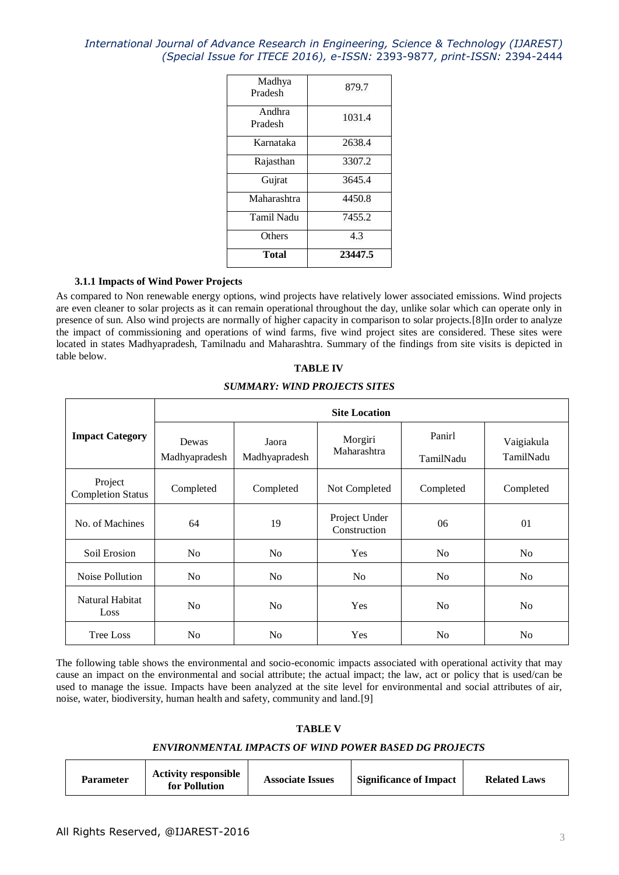| Total             | 23447.5 |  |  |
|-------------------|---------|--|--|
| Others            | 4.3     |  |  |
| <b>Tamil Nadu</b> | 7455.2  |  |  |
| Maharashtra       | 4450.8  |  |  |
| Gujrat            | 3645.4  |  |  |
| Rajasthan         | 3307.2  |  |  |
| Karnataka         | 2638.4  |  |  |
| Andhra<br>Pradesh | 1031.4  |  |  |
| Madhya<br>Pradesh | 879.7   |  |  |

### **3.1.1 Impacts of Wind Power Projects**

As compared to Non renewable energy options, wind projects have relatively lower associated emissions. Wind projects are even cleaner to solar projects as it can remain operational throughout the day, unlike solar which can operate only in presence of sun. Also wind projects are normally of higher capacity in comparison to solar projects.[8]In order to analyze the impact of commissioning and operations of wind farms, five wind project sites are considered. These sites were located in states Madhyapradesh, Tamilnadu and Maharashtra. Summary of the findings from site visits is depicted in table below.

### **TABLE IV**

#### *SUMMARY: WIND PROJECTS SITES*

|                                     | <b>Site Location</b>   |                        |                               |                     |                         |
|-------------------------------------|------------------------|------------------------|-------------------------------|---------------------|-------------------------|
| <b>Impact Category</b>              | Dewas<br>Madhyapradesh | Jaora<br>Madhyapradesh | Morgiri<br>Maharashtra        | Panirl<br>TamilNadu | Vaigiakula<br>TamilNadu |
| Project<br><b>Completion Status</b> | Completed              | Completed              | Not Completed                 | Completed           | Completed               |
| No. of Machines                     | 64                     | 19                     | Project Under<br>Construction | 06                  | 01                      |
| Soil Erosion                        | N <sub>o</sub>         | N <sub>o</sub>         | Yes                           | N <sub>0</sub>      | No                      |
| Noise Pollution                     | N <sub>o</sub>         | No                     | N <sub>o</sub>                | N <sub>o</sub>      | N <sub>0</sub>          |
| Natural Habitat<br>Loss             | N <sub>o</sub>         | No                     | Yes                           | N <sub>0</sub>      | No                      |
| <b>Tree Loss</b>                    | N <sub>o</sub>         | N <sub>o</sub>         | Yes                           | N <sub>0</sub>      | N <sub>0</sub>          |

The following table shows the environmental and socio-economic impacts associated with operational activity that may cause an impact on the environmental and social attribute; the actual impact; the law, act or policy that is used/can be used to manage the issue. Impacts have been analyzed at the site level for environmental and social attributes of air, noise, water, biodiversity, human health and safety, community and land.[9]

#### **TABLE V**

#### *ENVIRONMENTAL IMPACTS OF WIND POWER BASED DG PROJECTS*

| <b>Parameter</b> | <b>Activity responsible</b><br>for Pollution | <b>Associate Issues</b> | <b>Significance of Impact</b> | <b>Related Laws</b> |
|------------------|----------------------------------------------|-------------------------|-------------------------------|---------------------|
|------------------|----------------------------------------------|-------------------------|-------------------------------|---------------------|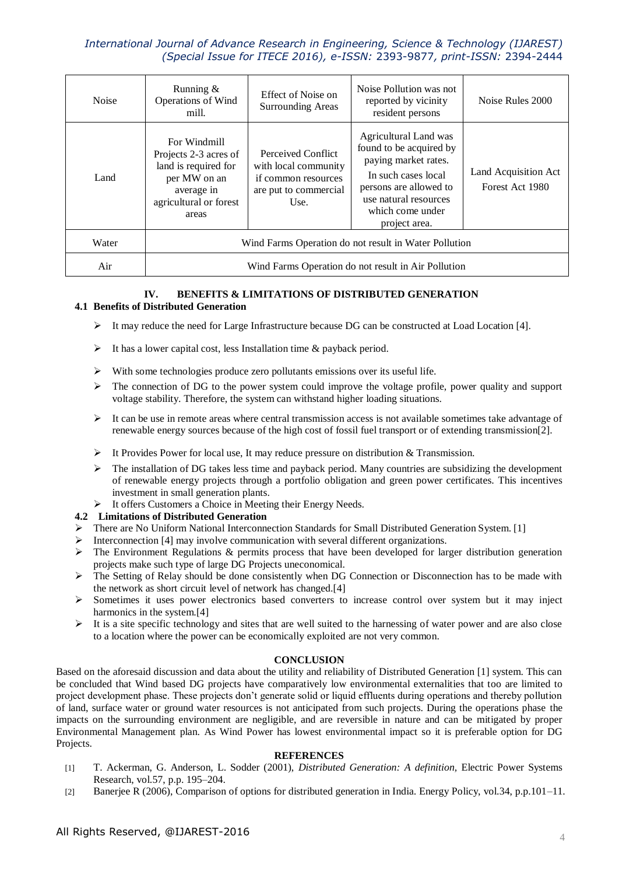| <b>Noise</b> | Running $\&$<br>Operations of Wind<br>mill.                                                                                    | Effect of Noise on<br><b>Surrounding Areas</b>                                                     | Noise Pollution was not<br>reported by vicinity<br>resident persons                                                                                                                     | Noise Rules 2000                        |
|--------------|--------------------------------------------------------------------------------------------------------------------------------|----------------------------------------------------------------------------------------------------|-----------------------------------------------------------------------------------------------------------------------------------------------------------------------------------------|-----------------------------------------|
| Land         | For Windmill<br>Projects 2-3 acres of<br>land is required for<br>per MW on an<br>average in<br>agricultural or forest<br>areas | Perceived Conflict<br>with local community<br>if common resources<br>are put to commercial<br>Use. | Agricultural Land was<br>found to be acquired by<br>paying market rates.<br>In such cases local<br>persons are allowed to<br>use natural resources<br>which come under<br>project area. | Land Acquisition Act<br>Forest Act 1980 |
| Water        | Wind Farms Operation do not result in Water Pollution                                                                          |                                                                                                    |                                                                                                                                                                                         |                                         |
| Air          | Wind Farms Operation do not result in Air Pollution                                                                            |                                                                                                    |                                                                                                                                                                                         |                                         |

# **IV. BENEFITS & LIMITATIONS OF DISTRIBUTED GENERATION**

### **4.1 Benefits of Distributed Generation**

- It may reduce the need for Large Infrastructure because DG can be constructed at Load Location [4].
- $\triangleright$  It has a lower capital cost, less Installation time & payback period.
- $\triangleright$  With some technologies produce zero pollutants emissions over its useful life.
- $\triangleright$  The connection of DG to the power system could improve the voltage profile, power quality and support voltage stability. Therefore, the system can withstand higher loading situations.
- $\triangleright$  It can be use in remote areas where central transmission access is not available sometimes take advantage of renewable energy sources because of the high cost of fossil fuel transport or of extending transmission[2].
- It Provides Power for local use, It may reduce pressure on distribution & Transmission.
- $\triangleright$  The installation of DG takes less time and payback period. Many countries are subsidizing the development of renewable energy projects through a portfolio obligation and green power certificates. This incentives investment in small generation plants.
- > It offers Customers a Choice in Meeting their Energy Needs.

### **4.2 Limitations of Distributed Generation**

- $\triangleright$  There are No Uniform National Interconnection Standards for Small Distributed Generation System. [1]
- $\triangleright$  Interconnection [4] may involve communication with several different organizations.
- The Environment Regulations & permits process that have been developed for larger distribution generation projects make such type of large DG Projects uneconomical.
- The Setting of Relay should be done consistently when DG Connection or Disconnection has to be made with the network as short circuit level of network has changed.[4]
- Sometimes it uses power electronics based converters to increase control over system but it may inject harmonics in the system.[4]
- $\triangleright$  It is a site specific technology and sites that are well suited to the harnessing of water power and are also close to a location where the power can be economically exploited are not very common.

### **CONCLUSION**

Based on the aforesaid discussion and data about the utility and reliability of Distributed Generation [1] system. This can be concluded that Wind based DG projects have comparatively low environmental externalities that too are limited to project development phase. These projects don't generate solid or liquid effluents during operations and thereby pollution of land, surface water or ground water resources is not anticipated from such projects. During the operations phase the impacts on the surrounding environment are negligible, and are reversible in nature and can be mitigated by proper Environmental Management plan. As Wind Power has lowest environmental impact so it is preferable option for DG Projects.

### **REFERENCES**

- [1] T. Ackerman, G. Anderson, L. Sodder (2001), *Distributed Generation: A definition,* Electric Power Systems Research, vol.57, p.p. 195–204.
- [2] Banerjee R (2006), Comparison of options for distributed generation in India. Energy Policy, vol.34, p.p.101–11.